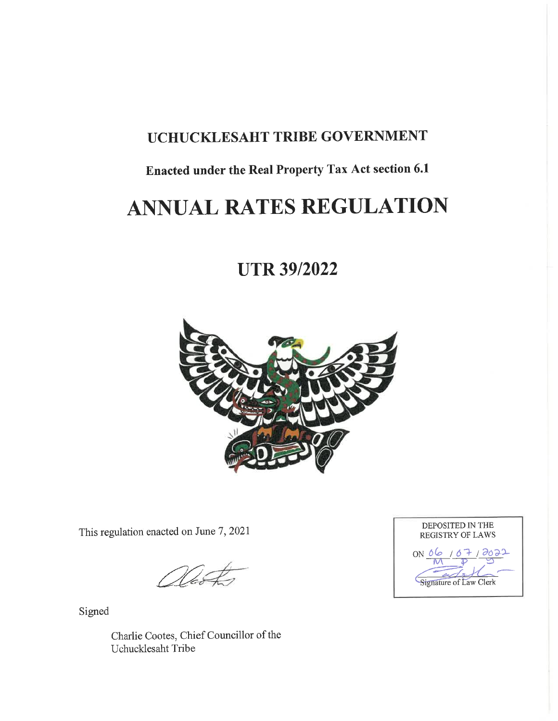## UCHUCKLESAHT TRIBE GOVERNMENT

### Enacted under the Real Property Tax Act section 6.1

# ANNUAL RATES REGULATION

## UTR 39/2022



This regulation enacted on June 7, 2021

Signed

Charlie Cootes, Chief Councillor of the Uchucklesaht Tribe

DEPOSITED IN THE REGISTRY OF LAWS  $ON 06 / 07 / 0002$  $\frac{6}{10}$   $\frac{107}{9}$   $\frac{20}{9}$  $\overline{M}$   $\overline{p}$   $\overline{q}$ <br>  $\overline{q}$ <br>  $\overline{q}$   $\overline{q}$ <br>  $\overline{q}$   $\overline{q}$   $\overline{q}$ <br>  $\overline{q}$   $\overline{q}$ <br>  $\overline{q}$ <br>  $\overline{q}$ <br>  $\overline{q}$ <br>  $\overline{q}$ <br>  $\overline{q}$ <br>  $\overline{q}$ <br>  $\overline{q}$ <br>  $\overline{q}$ <br>  $\overline{q}$ <br>  $\overline{q}$ <br>  $\overline{q}$ <br>  $\overline{q}$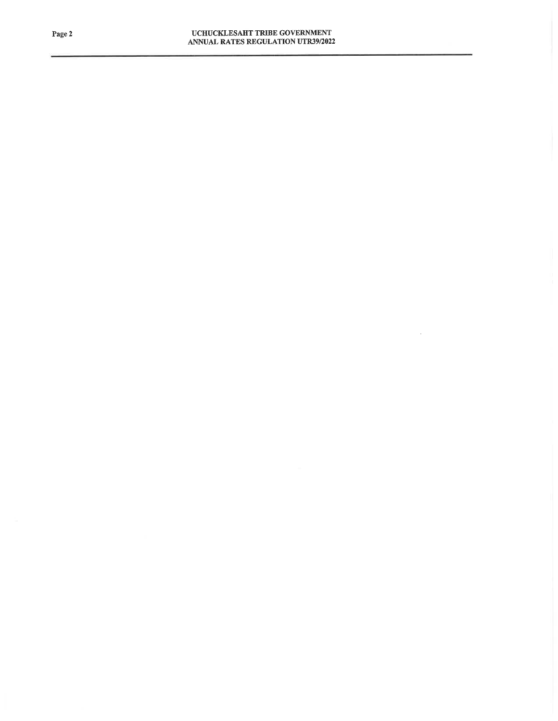$\sim$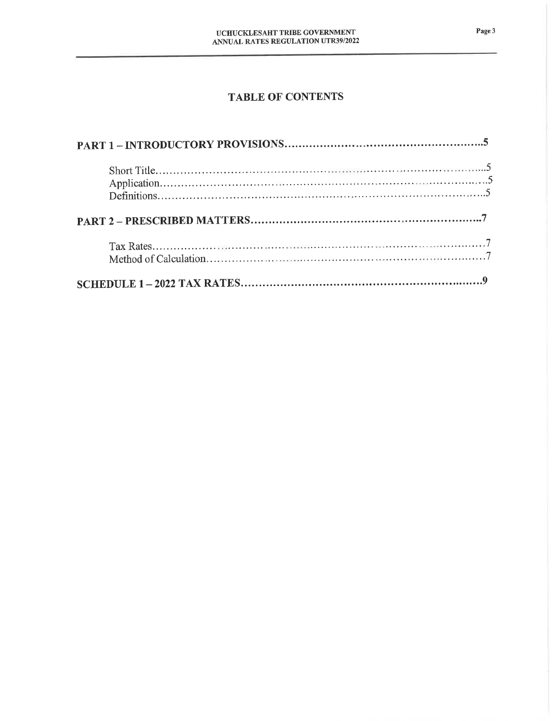#### TABLE OF CONTENTS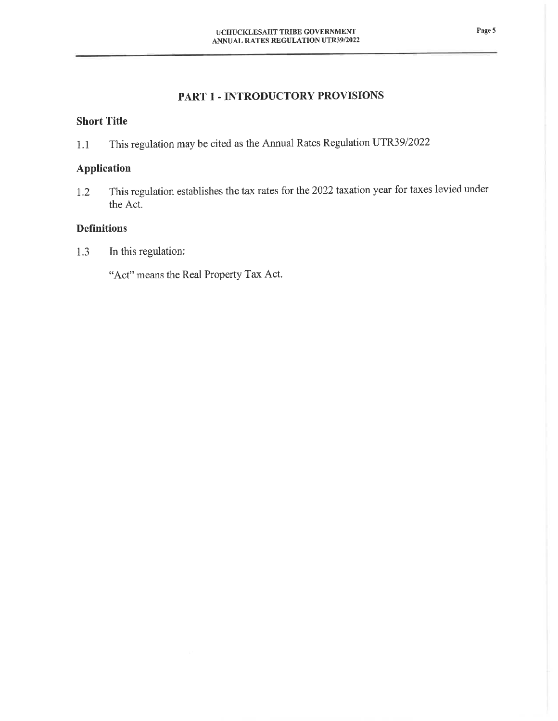#### PART 1 - INTRODUCTORY PROVISIONS

#### Short Title

1.1 This regulation may be cited as the Annual Rates Regulation UTR39/2022

#### Application

1.2 This regulation establishes the tax rates for the 2022 taxation year for taxes levied under the Act.

#### **Definitions**

1.3 In this regulation:

"Act" means the Real Property Tax Act.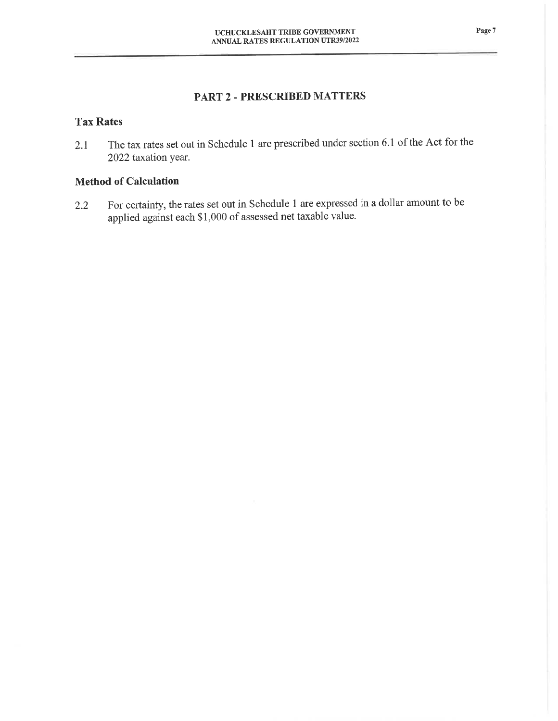#### PART 2 - PRESCRIBED MATTERS

#### Tax Rates

2.1 The tax rates set out in Schedule 1 are prescribed under section 6.1 of the Act for the 2022 taxation year.

#### Method of Calculation

2.2 For certainty, the rates set out in Schedule 1 are expressed in a dollar amount to be applied against each \$1, 000 of assessed net taxable value.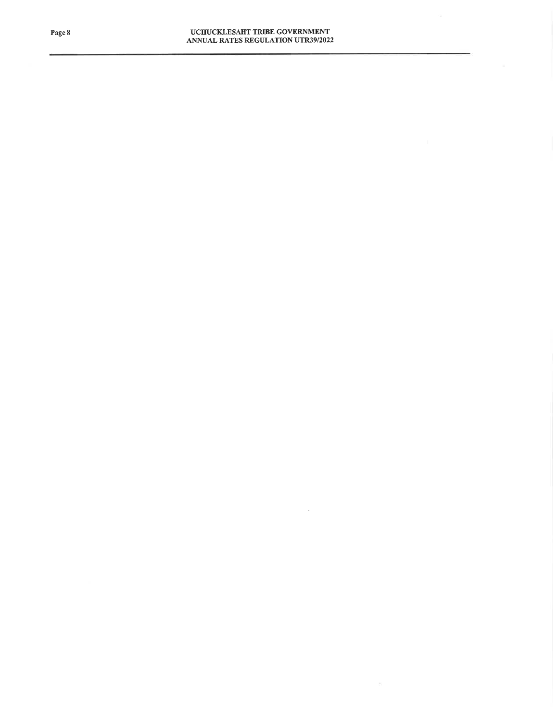$\sim 10^{11}$  km s  $^{-1}$